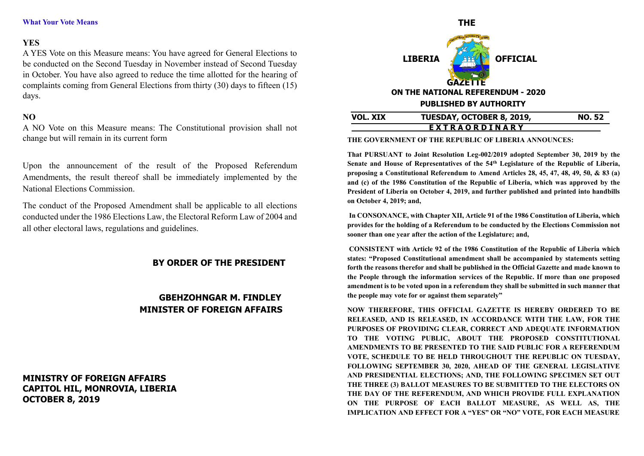

**THE GOVERNMENT OF THE REPUBLIC OF LIBERIA ANNOUNCES:** 

**That PURSUANT to Joint Resolution Leg-002/2019 adopted September 30, 2019 by the**  Senate and House of Representatives of the 54<sup>th</sup> Legislature of the Republic of Liberia, **proposing a Constitutional Referendum to Amend Articles 28, 45, 47, 48, 49, 50, & 83 (a) and (c) of the 1986 Constitution of the Republic of Liberia, which was approved by the President of Liberia on October 4, 2019, and further published and printed into handbills on October 4, 2019; and,** 

 **In CONSONANCE, with Chapter XII, Article 91 of the 1986 Constitution of Liberia, which provides for the holding of a Referendum to be conducted by the Elections Commission not sooner than one year after the action of the Legislature; and,** 

 **CONSISTENT with Article 92 of the 1986 Constitution of the Republic of Liberia which states: "Proposed Constitutional amendment shall be accompanied by statements setting forth the reasons therefor and shall be published in the Official Gazette and made known to the People through the information services of the Republic. If more than one proposed amendment is to be voted upon in a referendum they shall be submitted in such manner that** 

**the people may vote for or against them separately"** 

**NOW THEREFORE, THIS OFFICIAL GAZETTE IS HEREBY ORDERED TO BE RELEASED, AND IS RELEASED, IN ACCORDANCE WITH THE LAW, FOR THE PURPOSES OF PROVIDING CLEAR, CORRECT AND ADEQUATE INFORMATION TO THE VOTING PUBLIC, ABOUT THE PROPOSED CONSTITUTIONAL AMENDMENTS TO BE PRESENTED TO THE SAID PUBLIC FOR A REFERENDUM VOTE, SCHEDULE TO BE HELD THROUGHOUT THE REPUBLIC ON TUESDAY, FOLLOWING SEPTEMBER 30, 2020, AHEAD OF THE GENERAL LEGISLATIVE AND PRESIDENTIAL ELECTIONS; AND, THE FOLLOWING SPECIMEN SET OUT THE THREE (3) BALLOT MEASURES TO BE SUBMITTED TO THE ELECTORS ON THE DAY OF THE REFERENDUM, AND WHICH PROVIDE FULL EXPLANATION ON THE PURPOSE OF EACH BALLOT MEASURE, AS WELL AS, THE IMPLICATION AND EFFECT FOR A "YES" OR "NO" VOTE, FOR EACH MEASURE**

## **What Your Vote Means**

# **YES**

A YES Vote on this Measure means: You have agreed for General Elections to be conducted on the Second Tuesday in November instead of Second Tuesday in October. You have also agreed to reduce the time allotted for the hearing of complaints coming from General Elections from thirty (30) days to fifteen (15) days.

## **NO**

A NO Vote on this Measure means: The Constitutional provision shall not change but will remain in its current form

Upon the announcement of the result of the Proposed Referendum Amendments, the result thereof shall be immediately implemented by the National Elections Commission.

The conduct of the Proposed Amendment shall be applicable to all elections conducted under the 1986 Elections Law, the Electoral Reform Law of 2004 and all other electoral laws, regulations and guidelines.

# **BY ORDER OF THE PRESIDENT**

# **GBEHZOHNGAR M. FINDLEY MINISTER OF FOREIGN AFFAIRS**

# **MINISTRY OF FOREIGN AFFAIRS CAPITOL HIL, MONROVIA, LIBERIA OCTOBER 8, 2019**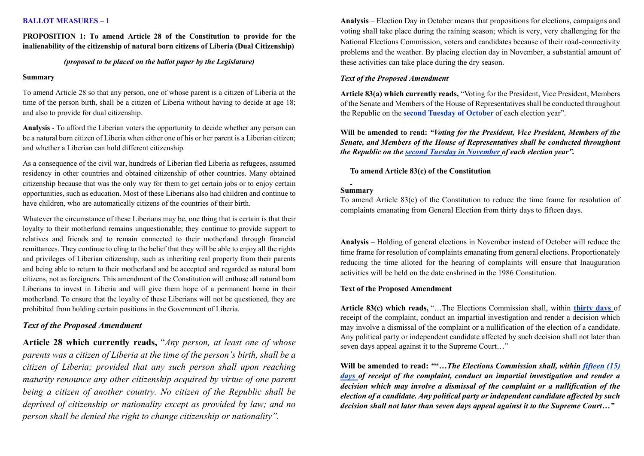## **BALLOT MEASURES – 1**

# **PROPOSITION 1: To amend Article 28 of the Constitution to provide for the inalienability of the citizenship of natural born citizens of Liberia (Dual Citizenship)**

## *(proposed to be placed on the ballot paper by the Legislature)*

## **Summary**

To amend Article 28 so that any person, one of whose parent is a citizen of Liberia at the time of the person birth, shall be a citizen of Liberia without having to decide at age 18; and also to provide for dual citizenship.

**Analysis** - To afford the Liberian voters the opportunity to decide whether any person can be a natural born citizen of Liberia when either one of his or her parent is a Liberian citizen; and whether a Liberian can hold different citizenship.

As a consequence of the civil war, hundreds of Liberian fled Liberia as refugees, assumed residency in other countries and obtained citizenship of other countries. Many obtained citizenship because that was the only way for them to get certain jobs or to enjoy certain opportunities, such as education. Most of these Liberians also had children and continue to have children, who are automatically citizens of the countries of their birth.

Whatever the circumstance of these Liberians may be, one thing that is certain is that their loyalty to their motherland remains unquestionable; they continue to provide support to relatives and friends and to remain connected to their motherland through financial remittances. They continue to cling to the belief that they will be able to enjoy all the rights and privileges of Liberian citizenship, such as inheriting real property from their parents and being able to return to their motherland and be accepted and regarded as natural born citizens, not as foreigners. This amendment of the Constitution will enthuse all natural born Liberians to invest in Liberia and will give them hope of a permanent home in their motherland. To ensure that the loyalty of these Liberians will not be questioned, they are prohibited from holding certain positions in the Government of Liberia.

# *Text of the Proposed Amendment*

**Article 28 which currently reads,** "*Any person, at least one of whose parents was a citizen of Liberia at the time of the person's birth, shall be a citizen of Liberia; provided that any such person shall upon reaching maturity renounce any other citizenship acquired by virtue of one parent being a citizen of another country. No citizen of the Republic shall be deprived of citizenship or nationality except as provided by law; and no person shall be denied the right to change citizenship or nationality".* 

**Analysis** – Election Day in October means that propositions for elections, campaigns and voting shall take place during the raining season; which is very, very challenging for the National Elections Commission, voters and candidates because of their road-connectivity problems and the weather. By placing election day in November, a substantial amount of these activities can take place during the dry season.

# *Text of the Proposed Amendment*

**Article 83(a) which currently reads,** "Voting for the President, Vice President, Members of the Senate and Members of the House of Representatives shall be conducted throughout the Republic on the **second Tuesday of October** of each election year".

**Will be amended to read:** *"Voting for the President, Vice President, Members of the Senate, and Members of the House of Representatives shall be conducted throughout the Republic on the second Tuesday in November of each election year".*

# **To amend Article 83(c) of the Constitution**

**Summary**

To amend Article 83(c) of the Constitution to reduce the time frame for resolution of complaints emanating from General Election from thirty days to fifteen days.

**Analysis** – Holding of general elections in November instead of October will reduce the time frame for resolution of complaints emanating from general elections. Proportionately reducing the time alloted for the hearing of complaints will ensure that Inauguration activities will be held on the date enshrined in the 1986 Constitution.

# **Text of the Proposed Amendment**

**Article 83(c) which reads,** "…The Elections Commission shall, within **thirty days** of receipt of the complaint, conduct an impartial investigation and render a decision which may involve a dismissal of the complaint or a nullification of the election of a candidate. Any political party or independent candidate affected by such decision shall not later than seven days appeal against it to the Supreme Court…"

**Will be amended to read:** *"***"***…The Elections Commission shall, within fifteen (15) days of receipt of the complaint, conduct an impartial investigation and render a decision which may involve a dismissal of the complaint or a nullification of the election of a candidate. Any political party or independent candidate affected by such decision shall not later than seven days appeal against it to the Supreme Court…"*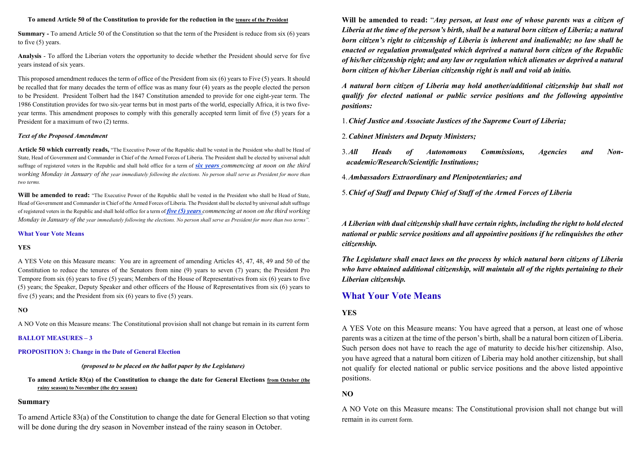**Will be amended to read:** "*Any person, at least one of whose parents was a citizen of Liberia at the time of the person's birth, shall be a natural born citizen of Liberia; a natural born citizen's right to citizenship of Liberia is inherent and inalienable; no law shall be enacted or regulation promulgated which deprived a natural born citizen of the Republic of his/her citizenship right; and any law or regulation which alienates or deprived a natural born citizen of his/her Liberian citizenship right is null and void ab initio.* 

*A natural born citizen of Liberia may hold another/additional citizenship but shall not qualify for elected national or public service positions and the following appointive positions:* 

1.*Chief Justice and Associate Justices of the Supreme Court of Liberia;* 

2.*Cabinet Ministers and Deputy Ministers;* 

3.*All Heads of Autonomous Commissions, Agencies and Nonacademic/Research/Scientific Institutions;* 

4.*Ambassadors Extraordinary and Plenipotentiaries; and* 

5.*Chief of Staff and Deputy Chief of Staff of the Armed Forces of Liberia* 

*A Liberian with dual citizenship shall have certain rights, including the right to hold elected national or public service positions and all appointive positions if he relinquishes the other* 

# *citizenship.*

*The Legislature shall enact laws on the process by which natural born citizens of Liberia who have obtained additional citizenship, will maintain all of the rights pertaining to their Liberian citizenship.* 

# **What Your Vote Means**

# **YES**

A YES Vote on this Measure means: You have agreed that a person, at least one of whose parents was a citizen at the time of the person's birth, shall be a natural born citizen of Liberia. Such person does not have to reach the age of maturity to decide his/her citizenship. Also, you have agreed that a natural born citizen of Liberia may hold another citizenship, but shall not qualify for elected national or public service positions and the above listed appointive positions.

# **NO**

A NO Vote on this Measure means: The Constitutional provision shall not change but will remain in its current form.

## **To amend Article 50 of the Constitution to provide for the reduction in the tenure of the President**

**Summary -** To amend Article 50 of the Constitution so that the term of the President is reduce from six (6) years to five (5) years.

**Analysis** - To afford the Liberian voters the opportunity to decide whether the President should serve for five years instead of six years.

This proposed amendment reduces the term of office of the President from six (6) years to Five (5) years. It should be recalled that for many decades the term of office was as many four (4) years as the people elected the person to be President. President Tolbert had the 1847 Constitution amended to provide for one eight-year term. The 1986 Constitution provides for two six-year terms but in most parts of the world, especially Africa, it is two fiveyear terms. This amendment proposes to comply with this generally accepted term limit of five (5) years for a President for a maximum of two (2) terms.

### *Text of the Proposed Amendment*

**Article 50 which currently reads,** "The Executive Power of the Republic shall be vested in the President who shall be Head of State, Head of Government and Commander in Chief of the Armed Forces of Liberia. The President shall be elected by universal adult suffrage of registered voters in the Republic and shall hold office for a term of *six years commencing at noon on the third working Monday in January of the year immediately following the elections. No person shall serve as President for more than two terms.*

**Will be amended to read:** "The Executive Power of the Republic shall be vested in the President who shall be Head of State, Head of Government and Commander in Chief of the Armed Forces of Liberia. The President shall be elected by universal adult suffrage of registered voters in the Republic and shall hold office for a term of *five (5) years commencing at noon on the third working Monday in January of the year immediately following the elections. No person shall serve as President for more than two terms".*

#### **What Your Vote Means**

## **YES**

A YES Vote on this Measure means: You are in agreement of amending Articles 45, 47, 48, 49 and 50 of the Constitution to reduce the tenures of the Senators from nine (9) years to seven (7) years; the President Pro Tempore from six (6) years to five (5) years; Members of the House of Representatives from six (6) years to five (5) years; the Speaker, Deputy Speaker and other officers of the House of Representatives from six (6) years to five (5) years; and the President from six (6) years to five (5) years.

## **NO**

A NO Vote on this Measure means: The Constitutional provision shall not change but remain in its current form

#### **BALLOT MEASURES – 3**

## **PROPOSITION 3: Change in the Date of General Election**

## *(proposed to be placed on the ballot paper by the Legislature)*

**To amend Article 83(a) of the Constitution to change the date for General Elections from October (the rainy season) to November (the dry season)** 

## **Summary**

To amend Article 83(a) of the Constitution to change the date for General Election so that voting will be done during the dry season in November instead of the rainy season in October.